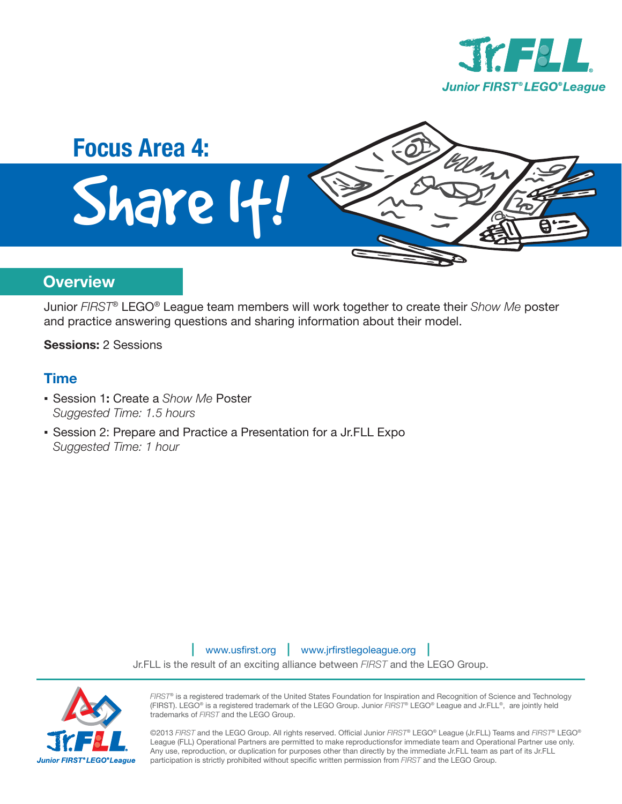



### **Overview**

Junior *FIRST*® LEGO® League team members will work together to create their *Show Me* poster and practice answering questions and sharing information about their model.

**Sessions:** 2 Sessions

#### **Time**

- Session 1**:** Create a *Show Me* Poster *Suggested Time: 1.5 hours*
- Session 2: Prepare and Practice a Presentation for a Jr.FLL Expo *Suggested Time: 1 hour*

| www.usfirst.org | www.jrfirstlegoleague.org |

Jr.FLL is the result of an exciting alliance between *FIRST* and the LEGO Group.



*FIRST*® is a registered trademark of the United States Foundation for Inspiration and Recognition of Science and Technology (FIRST). LEGO® is a registered trademark of the LEGO Group. Junior *FIRST*® LEGO® League and Jr.FLL®, are jointly held trademarks of *FIRST* and the LEGO Group.

©2013 *FIRST* and the LEGO Group. All rights reserved. Official Junior *FIRST*® LEGO® League (Jr.FLL) Teams and *FIRST*® LEGO® League (FLL) Operational Partners are permitted to make reproductionsfor immediate team and Operational Partner use only. Any use, reproduction, or duplication for purposes other than directly by the immediate Jr.FLL team as part of its Jr.FLL participation is strictly prohibited without specific written permission from FIRST and the LEGO Group.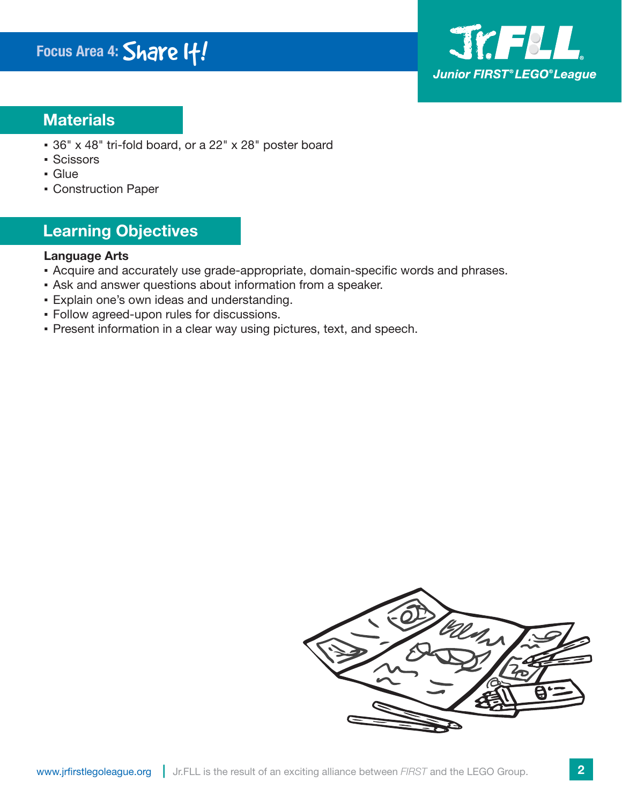

## **Materials**

- 36" x 48" tri-fold board, or a 22" x 28" poster board
- Scissors
- Glue
- Construction Paper

## **Learning Objectives**

#### **Language Arts**

- Acquire and accurately use grade-appropriate, domain-specific words and phrases.
- Ask and answer questions about information from a speaker.
- Explain one's own ideas and understanding.
- Follow agreed-upon rules for discussions.
- Present information in a clear way using pictures, text, and speech.

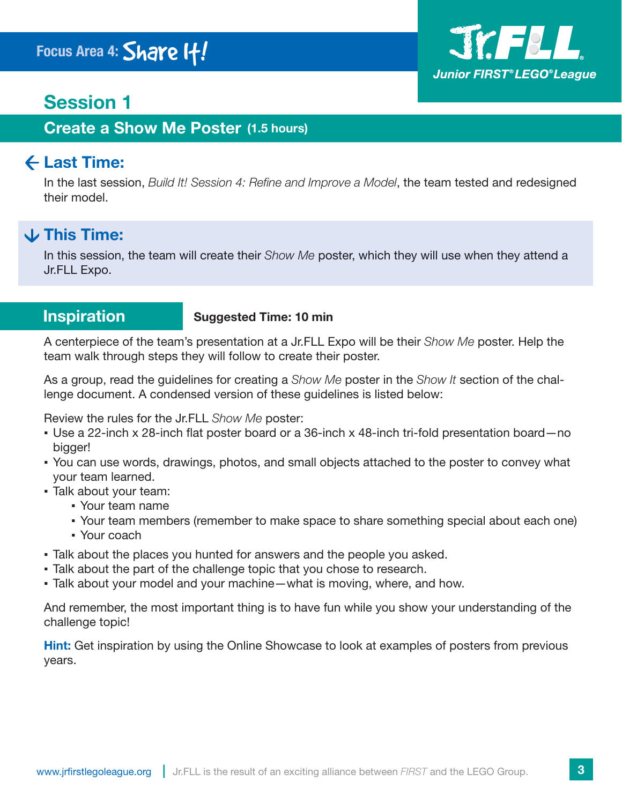# **Session 1**

**Create a Show Me Poster (1.5 hours)** 

## **Last Time:**

In the last session, *Build It! Session 4: Refine and Improve a Model*, the team tested and redesigned their model.

## **This Time:**

In this session, the team will create their *Show Me* poster, which they will use when they attend a Jr.FLL Expo. Jr.FLL

#### **Inspiration**

#### **Suggested Time: 10 min**

A centerpiece of the team's presentation at a Jr.FLL Expo will be their *Show Me* poster. Help the team walk through steps they will follow to create their poster.

As a group, read the guidelines for creating a *Show Me* poster in the *Show It* section of the challenge document. A condensed version of these guidelines is listed below:

Review the rules for the Jr.FLL *Show Me* poster:

- Use a 22-inch x 28-inch flat poster board or a 36-inch x 48-inch tri-fold presentation board-no bigger!
- You can use words, drawings, photos, and small objects attached to the poster to convey what your team learned.
- Talk about your team:
	- Your team name
	- Your team members (remember to make space to share something special about each one)
	- Your coach
- Talk about the places you hunted for answers and the people you asked.
- Talk about the part of the challenge topic that you chose to research.
- · Talk about your model and your machine what is moving, where, and how.

And remember, the most important thing is to have fun while you show your understanding of the challenge topic!

**Hint:** Get inspiration by using the Online Showcase to look at examples of posters from previous years.

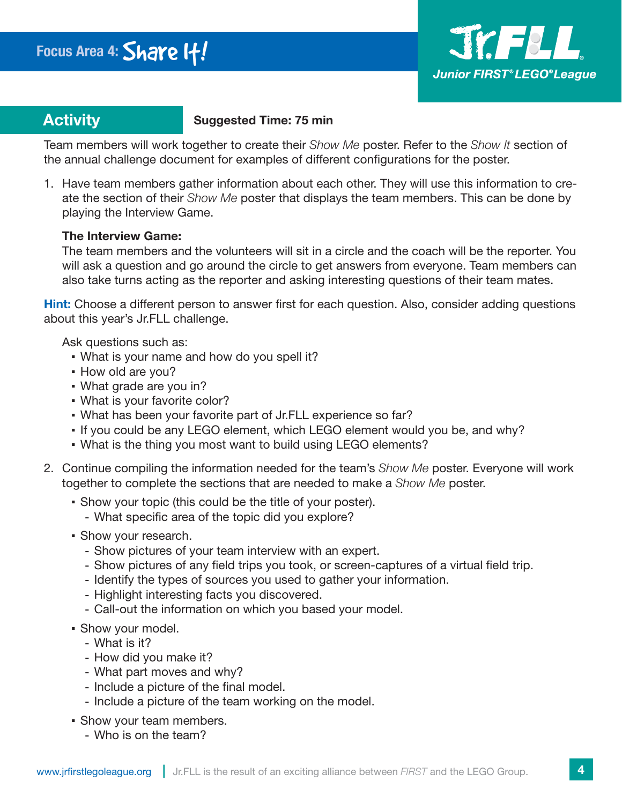

## **Activity**

#### **Activity Suggested Time: 75 min**

Team members will work together to create their *Show Me* poster. Refer to the *Show It* section of the annual challenge document for examples of different configurations for the poster.

1. Have team members gather information about each other. They will use this information to create the section of their *Show Me* poster that displays the team members. This can be done by playing the Interview Game.

#### **The Interview Game:**

The team members and the volunteers will sit in a circle and the coach will be the reporter. You will ask a question and go around the circle to get answers from everyone. Team members can also take turns acting as the reporter and asking interesting questions of their team mates.

Hint: Choose a different person to answer first for each question. Also, consider adding questions about this year's Jr.FLL challenge.

Ask questions such as:

- What is your name and how do you spell it?
- How old are you?
- What grade are you in?
- What is your favorite color?
- What has been your favorite part of Jr.FLL experience so far?
- If you could be any LEGO element, which LEGO element would you be, and why?
- What is the thing you most want to build using LEGO elements?
- 2. Continue compiling the information needed for the team's *Show Me* poster. Everyone will work together to complete the sections that are needed to make a *Show Me* poster.
	- Show your topic (this could be the title of your poster).
		- What specific area of the topic did you explore?
	- Show your research.
		- Show pictures of your team interview with an expert.
		- Show pictures of any field trips you took, or screen-captures of a virtual field trip.
		- Identify the types of sources you used to gather your information.
		- Highlight interesting facts you discovered.
		- Call-out the information on which you based your model.
	- Show your model.
		- What is it?
		- How did you make it?
		- What part moves and why?
		- Include a picture of the final model.
		- Include a picture of the team working on the model.
	- Show your team members.
		- Who is on the team?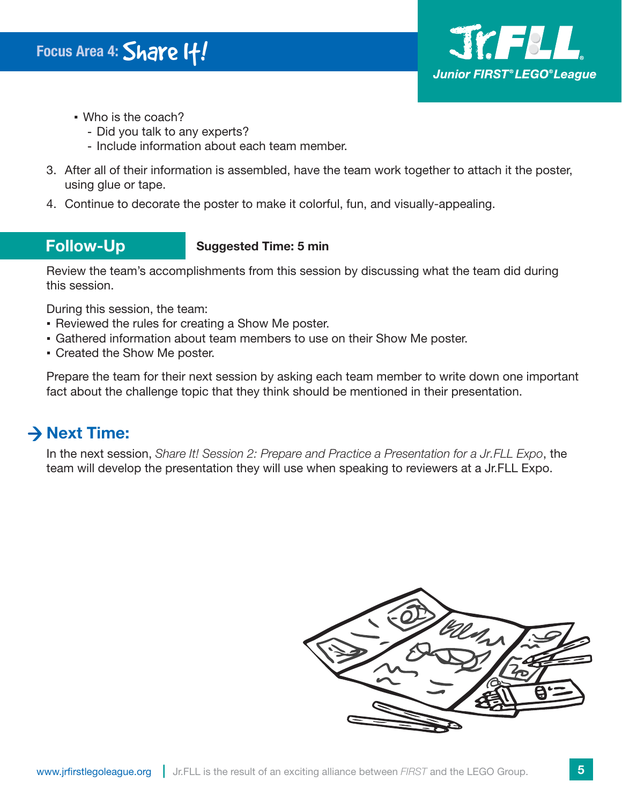

- Who is the coach?
	- Did you talk to any experts?
	- Include information about each team member.
- 3. After all of their information is assembled, have the team work together to attach it the poster, using glue or tape.
- 4. Continue to decorate the poster to make it colorful, fun, and visually-appealing.

## **Follow-Up**

#### **Suggested Time: 5 min**

Review the team's accomplishments from this session by discussing what the team did during this session.

During this session, the team:

- Reviewed the rules for creating a Show Me poster.
- Gathered information about team members to use on their Show Me poster.
- Created the Show Me poster.

Prepare the team for their next session by asking each team member to write down one important fact about the challenge topic that they think should be mentioned in their presentation.

## **→ Next Time:**

In the next session, *Share It! Session 2: Prepare and Practice a Presentation for a Jr.FLL Expo*, the team will develop the presentation they will use when speaking to reviewers at a Jr.FLL Expo.

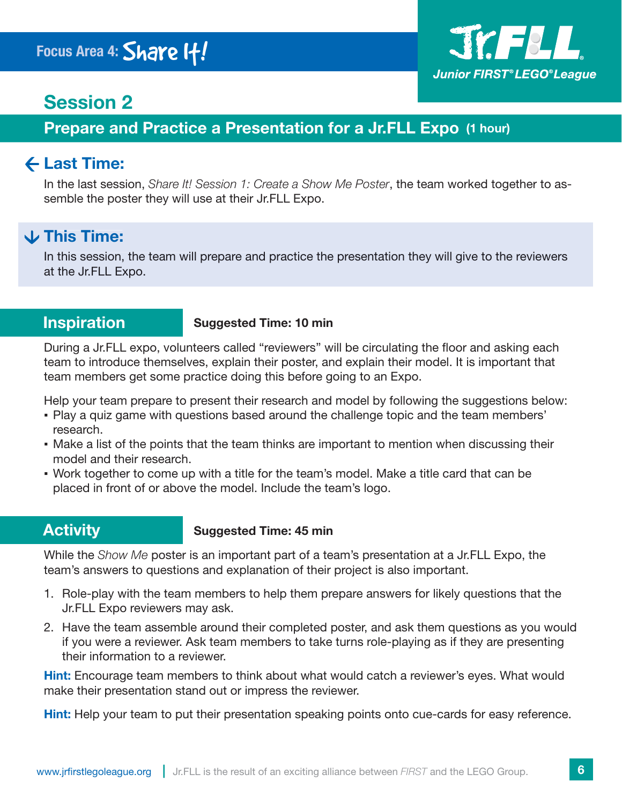

## **Session 2**

## **Prepare and Practice a Presentation for a Jr.FLL Expo (1 hour)**

## **Last Time:**

In the last session, *Share It! Session 1: Create a Show Me Poster*, the team worked together to assemble the poster they will use at their Jr.FLL Expo.

## **This Time:**

In this session, the team will prepare and practice the presentation they will give to the reviewers at the Jr.FLL Expo. Expo.

#### **Inspiration**

#### **Suggested Time: 10 min**

During a Jr.FLL expo, volunteers called "reviewers" will be circulating the floor and asking each team to introduce themselves, explain their poster, and explain their model. It is important that team members get some practice doing this before going to an Expo.

Help your team prepare to present their research and model by following the suggestions below:

- Play a quiz game with questions based around the challenge topic and the team members' research.
- Make a list of the points that the team thinks are important to mention when discussing their model and their research.
- Work together to come up with a title for the team's model. Make a title card that can be placed in front of or above the model. Include the team's logo.

## **Activity**

#### **Suggested Time: 45 min**

While the *Show Me* poster is an important part of a team's presentation at a Jr.FLL Expo, the team's answers to questions and explanation of their project is also important.

- 1. Role-play with the team members to help them prepare answers for likely questions that the Jr.FLL Expo reviewers may ask.
- 2. Have the team assemble around their completed poster, and ask them questions as you would if you were a reviewer. Ask team members to take turns role-playing as if they are presenting their information to a reviewer.

**Hint:** Encourage team members to think about what would catch a reviewer's eyes. What would make their presentation stand out or impress the reviewer.

**Hint:** Help your team to put their presentation speaking points onto cue-cards for easy reference.